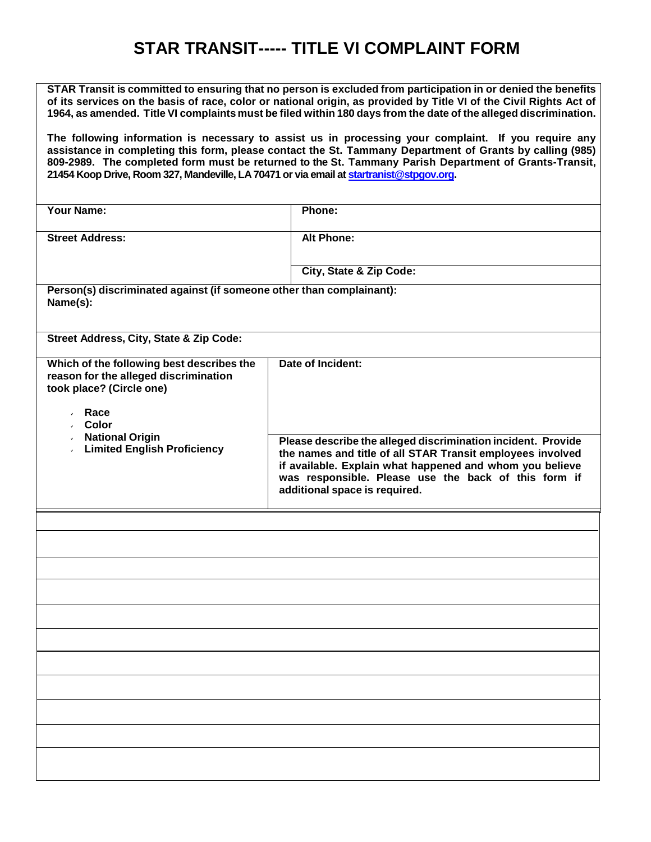## **STAR TRANSIT----- TITLE VI COMPLAINT FORM**

**STAR Transit is committed to ensuring that no person is excluded from participation in or denied the benefits** of its services on the basis of race, color or national origin, as provided by Title VI of the Civil Rights Act of 1964, as amended. Title VI complaints must be filed within 180 days from the date of the alleged discrimination.

**The following information is necessary to assist us in processing your complaint. If you require any assistance in completing this form, please contact the St. Tammany Department of Grants by calling (985) 809-2989. The completed form must be returned to the St. Tammany Parish Department of Grants-Transit, 21454 Koop Drive, Room 327, Mandeville, LA 70471 or via email a[t startranist@stpgov.org.](mailto:startranist@stpgov.org)** 

| <b>Your Name:</b>                                                                                                                                                                                         | Phone:                                                                                                                                                                                                                                                                          |
|-----------------------------------------------------------------------------------------------------------------------------------------------------------------------------------------------------------|---------------------------------------------------------------------------------------------------------------------------------------------------------------------------------------------------------------------------------------------------------------------------------|
| <b>Street Address:</b>                                                                                                                                                                                    | <b>Alt Phone:</b>                                                                                                                                                                                                                                                               |
|                                                                                                                                                                                                           | <b>City, State &amp; Zip Code:</b>                                                                                                                                                                                                                                              |
|                                                                                                                                                                                                           |                                                                                                                                                                                                                                                                                 |
| Person(s) discriminated against (if someone other than complainant):<br>Name(s):                                                                                                                          |                                                                                                                                                                                                                                                                                 |
| Street Address, City, State & Zip Code:                                                                                                                                                                   |                                                                                                                                                                                                                                                                                 |
| Which of the following best describes the<br>reason for the alleged discrimination<br>took place? (Circle one)<br>$\cdot$ Race<br>↓ Color<br><b>National Origin</b><br><b>Limited English Proficiency</b> | Date of Incident:                                                                                                                                                                                                                                                               |
|                                                                                                                                                                                                           | Please describe the alleged discrimination incident. Provide<br>the names and title of all STAR Transit employees involved<br>if available. Explain what happened and whom you believe<br>was responsible. Please use the back of this form if<br>additional space is required. |
|                                                                                                                                                                                                           |                                                                                                                                                                                                                                                                                 |
|                                                                                                                                                                                                           |                                                                                                                                                                                                                                                                                 |
|                                                                                                                                                                                                           |                                                                                                                                                                                                                                                                                 |
|                                                                                                                                                                                                           |                                                                                                                                                                                                                                                                                 |
|                                                                                                                                                                                                           |                                                                                                                                                                                                                                                                                 |
|                                                                                                                                                                                                           |                                                                                                                                                                                                                                                                                 |
|                                                                                                                                                                                                           |                                                                                                                                                                                                                                                                                 |
|                                                                                                                                                                                                           |                                                                                                                                                                                                                                                                                 |
|                                                                                                                                                                                                           |                                                                                                                                                                                                                                                                                 |
|                                                                                                                                                                                                           |                                                                                                                                                                                                                                                                                 |
|                                                                                                                                                                                                           |                                                                                                                                                                                                                                                                                 |